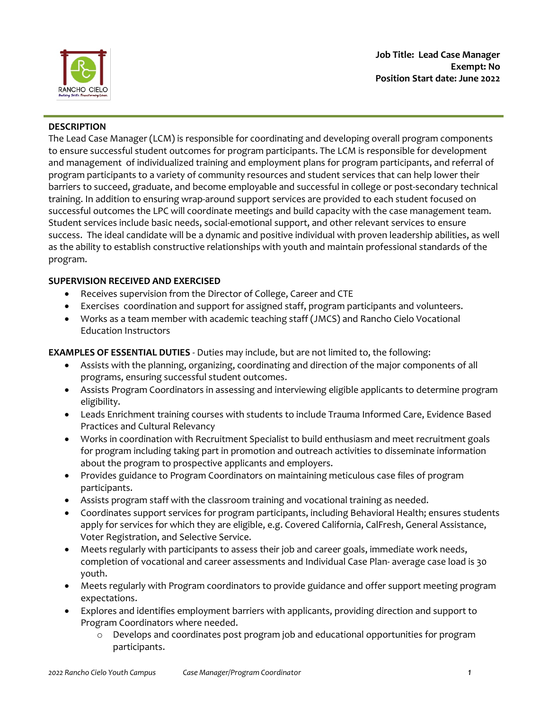

### **DESCRIPTION**

The Lead Case Manager (LCM) is responsible for coordinating and developing overall program components to ensure successful student outcomes for program participants. The LCM is responsible for development and management of individualized training and employment plans for program participants, and referral of program participants to a variety of community resources and student services that can help lower their barriers to succeed, graduate, and become employable and successful in college or post-secondary technical training. In addition to ensuring wrap-around support services are provided to each student focused on successful outcomes the LPC will coordinate meetings and build capacity with the case management team. Student services include basic needs, social-emotional support, and other relevant services to ensure success. The ideal candidate will be a dynamic and positive individual with proven leadership abilities, as well as the ability to establish constructive relationships with youth and maintain professional standards of the program.

# **SUPERVISION RECEIVED AND EXERCISED**

- Receives supervision from the Director of College, Career and CTE
- Exercises coordination and support for assigned staff, program participants and volunteers.
- Works as a team member with academic teaching staff (JMCS) and Rancho Cielo Vocational Education Instructors

# **EXAMPLES OF ESSENTIAL DUTIES** - Duties may include, but are not limited to, the following:

- Assists with the planning, organizing, coordinating and direction of the major components of all programs, ensuring successful student outcomes.
- Assists Program Coordinators in assessing and interviewing eligible applicants to determine program eligibility.
- Leads Enrichment training courses with students to include Trauma Informed Care, Evidence Based Practices and Cultural Relevancy
- Works in coordination with Recruitment Specialist to build enthusiasm and meet recruitment goals for program including taking part in promotion and outreach activities to disseminate information about the program to prospective applicants and employers.
- Provides guidance to Program Coordinators on maintaining meticulous case files of program participants.
- Assists program staff with the classroom training and vocational training as needed.
- Coordinates support services for program participants, including Behavioral Health; ensures students apply for services for which they are eligible, e.g. Covered California, CalFresh, General Assistance, Voter Registration, and Selective Service.
- Meets regularly with participants to assess their job and career goals, immediate work needs, completion of vocational and career assessments and Individual Case Plan- average case load is 30 youth.
- Meets regularly with Program coordinators to provide guidance and offer support meeting program expectations.
- Explores and identifies employment barriers with applicants, providing direction and support to Program Coordinators where needed.
	- o Develops and coordinates post program job and educational opportunities for program participants.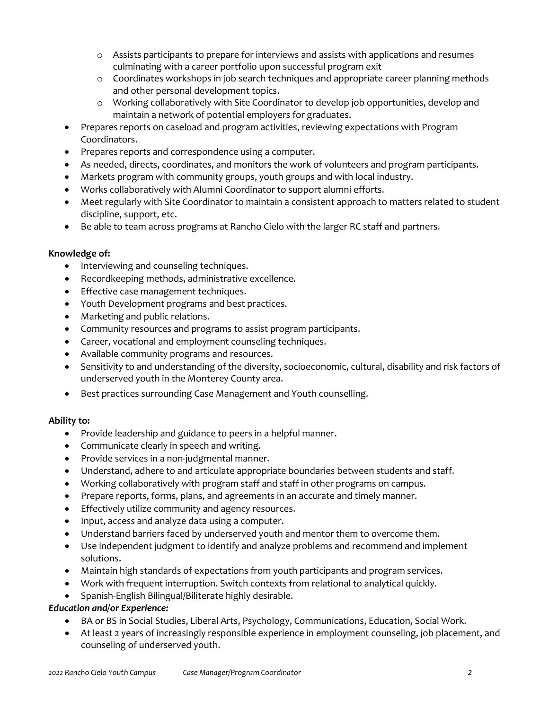- $\circ$  Assists participants to prepare for interviews and assists with applications and resumes culminating with a career portfolio upon successful program exit
- o Coordinates workshops in job search techniques and appropriate career planning methods and other personal development topics.
- o Working collaboratively with Site Coordinator to develop job opportunities, develop and maintain a network of potential employers for graduates.
- Prepares reports on caseload and program activities, reviewing expectations with Program Coordinators.
- Prepares reports and correspondence using a computer.
- As needed, directs, coordinates, and monitors the work of volunteers and program participants.
- Markets program with community groups, youth groups and with local industry.
- Works collaboratively with Alumni Coordinator to support alumni efforts.
- Meet regularly with Site Coordinator to maintain a consistent approach to matters related to student discipline, support, etc.
- Be able to team across programs at Rancho Cielo with the larger RC staff and partners.

#### **Knowledge of:**

- Interviewing and counseling techniques.
- Recordkeeping methods, administrative excellence.
- Effective case management techniques.
- Youth Development programs and best practices.
- Marketing and public relations.
- Community resources and programs to assist program participants.
- Career, vocational and employment counseling techniques.
- Available community programs and resources.
- Sensitivity to and understanding of the diversity, socioeconomic, cultural, disability and risk factors of underserved youth in the Monterey County area.
- Best practices surrounding Case Management and Youth counselling.

# **Ability to:**

- Provide leadership and guidance to peers in a helpful manner.
- Communicate clearly in speech and writing.
- Provide services in a non-judgmental manner.
- Understand, adhere to and articulate appropriate boundaries between students and staff.
- Working collaboratively with program staff and staff in other programs on campus.
- Prepare reports, forms, plans, and agreements in an accurate and timely manner.
- Effectively utilize community and agency resources.
- Input, access and analyze data using a computer.
- Understand barriers faced by underserved youth and mentor them to overcome them.
- Use independent judgment to identify and analyze problems and recommend and implement solutions.
- Maintain high standards of expectations from youth participants and program services.
- Work with frequent interruption. Switch contexts from relational to analytical quickly.
- Spanish-English Bilingual/Biliterate highly desirable.

# *Education and/or Experience:*

- BA or BS in Social Studies, Liberal Arts, Psychology, Communications, Education, Social Work.
- At least 2 years of increasingly responsible experience in employment counseling, job placement, and counseling of underserved youth.